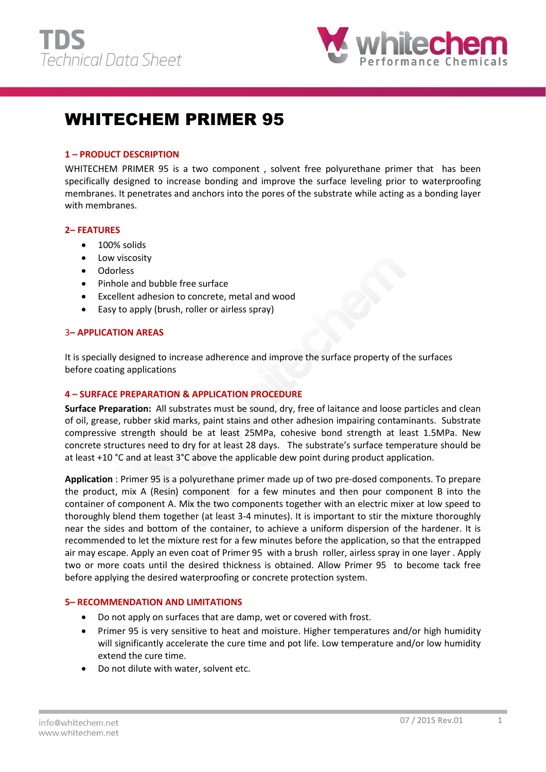



# WHITECHEM PRIMER 95

## **1 – PRODUCT DESCRIPTION**

WHITECHEM PRIMER 95 is a two component, solvent free polyurethane primer that has been specifically designed to increase bonding and improve the surface leveling prior to waterproofing membranes. It penetrates and anchors into the pores of the substrate while acting as a bonding layer with membranes.

## **2– FEATURES**

- 100% solids
- Low viscosity
- Odorless
- Pinhole and bubble free surface
- Excellent adhesion to concrete, metal and wood
- Easy to apply (brush, roller or airless spray)

#### 3**– APPLICATION AREAS**

It is specially designed to increase adherence and improve the surface property of the surfaces before coating applications

## **4 – SURFACE PREPARATION & APPLICATION PROCEDURE**

**Surface Preparation:** All substrates must be sound, dry, free of laitance and loose particles and clean of oil, grease, rubber skid marks, paint stains and other adhesion impairing contaminants. Substrate compressive strength should be at least 25MPa, cohesive bond strength at least 1.5MPa. New concrete structures need to dry for at least 28 days. The substrate's surface temperature should be at least +10 °C and at least 3°C above the applicable dew point during product application.

**Application** : Primer 95 is a polyurethane primer made up of two pre-dosed components. To prepare the product, mix A (Resin) component for a few minutes and then pour component B into the container of component A. Mix the two components together with an electric mixer at low speed to thoroughly blend them together (at least 3-4 minutes). It is important to stir the mixture thoroughly near the sides and bottom of the container, to achieve a uniform dispersion of the hardener. It is recommended to let the mixture rest for a few minutes before the application, so that the entrapped air may escape. Apply an even coat of Primer 95 with a brush roller, airless spray in one layer . Apply two or more coats until the desired thickness is obtained. Allow Primer 95 to become tack free before applying the desired waterproofing or concrete protection system.

## **5– RECOMMENDATION AND LIMITATIONS**

- Do not apply on surfaces that are damp, wet or covered with frost.
- Primer 95 is very sensitive to heat and moisture. Higher temperatures and/or high humidity will significantly accelerate the cure time and pot life. Low temperature and/or low humidity extend the cure time.
- Do not dilute with water, solvent etc.